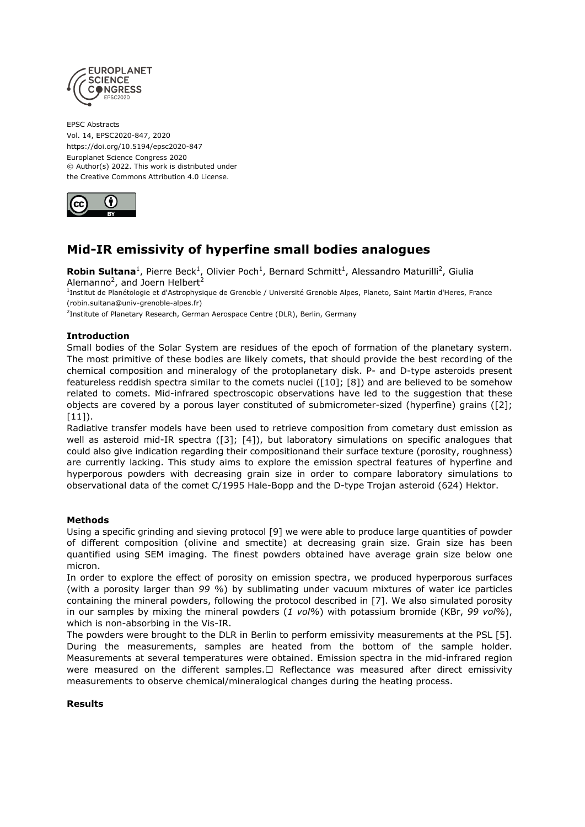

EPSC Abstracts Vol. 14, EPSC2020-847, 2020 https://doi.org/10.5194/epsc2020-847 Europlanet Science Congress 2020 © Author(s) 2022. This work is distributed under the Creative Commons Attribution 4.0 License.



# **Mid-IR emissivity of hyperfine small bodies analogues**

Robin Sultana<sup>1</sup>, Pierre Beck<sup>1</sup>, Olivier Poch<sup>1</sup>, Bernard Schmitt<sup>1</sup>, Alessandro Maturilli<sup>2</sup>, Giulia Alemanno<sup>2</sup>, and Joern Helbert<sup>2</sup>

<sup>1</sup>Institut de Planétologie et d'Astrophysique de Grenoble / Université Grenoble Alpes, Planeto, Saint Martin d'Heres, France (robin.sultana@univ-grenoble-alpes.fr)

<sup>2</sup>Institute of Planetary Research, German Aerospace Centre (DLR), Berlin, Germany

## **Introduction**

Small bodies of the Solar System are residues of the epoch of formation of the planetary system. The most primitive of these bodies are likely comets, that should provide the best recording of the chemical composition and mineralogy of the protoplanetary disk. P- and D-type asteroids present featureless reddish spectra similar to the comets nuclei ([10]; [8]) and are believed to be somehow related to comets. Mid-infrared spectroscopic observations have led to the suggestion that these objects are covered by a porous layer constituted of submicrometer-sized (hyperfine) grains ([2];  $[11]$ ).

Radiative transfer models have been used to retrieve composition from cometary dust emission as well as asteroid mid-IR spectra ([3]; [4]), but laboratory simulations on specific analogues that could also give indication regarding their compositionand their surface texture (porosity, roughness) are currently lacking. This study aims to explore the emission spectral features of hyperfine and hyperporous powders with decreasing grain size in order to compare laboratory simulations to observational data of the comet C/1995 Hale-Bopp and the D-type Trojan asteroid (624) Hektor.

## **Methods**

Using a specific grinding and sieving protocol [9] we were able to produce large quantities of powder of different composition (olivine and smectite) at decreasing grain size. Grain size has been quantified using SEM imaging. The finest powders obtained have average grain size below one micron.

In order to explore the effect of porosity on emission spectra, we produced hyperporous surfaces (with a porosity larger than *99 %*) by sublimating under vacuum mixtures of water ice particles containing the mineral powders, following the protocol described in [7]. We also simulated porosity in our samples by mixing the mineral powders (*1 vol%*) with potassium bromide (KBr, *99 vol%*), which is non-absorbing in the Vis-IR.

The powders were brought to the DLR in Berlin to perform emissivity measurements at the PSL [5]. During the measurements, samples are heated from the bottom of the sample holder. Measurements at several temperatures were obtained. Emission spectra in the mid-infrared region were measured on the different samples. $\Box$  Reflectance was measured after direct emissivity measurements to observe chemical/mineralogical changes during the heating process.

### **Results**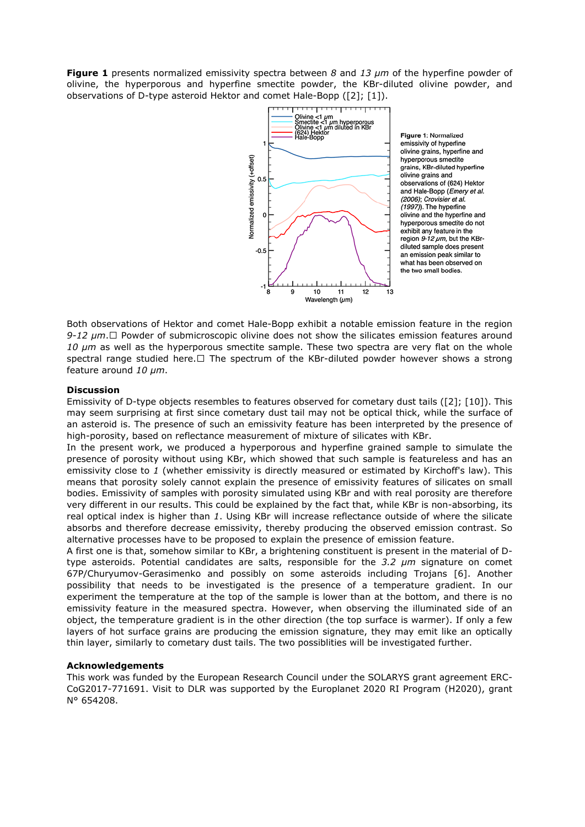**Figure 1** presents normalized emissivity spectra between *8* and *13 µm* of the hyperfine powder of olivine, the hyperporous and hyperfine smectite powder, the KBr-diluted olivine powder, and observations of D-type asteroid Hektor and comet Hale-Bopp ([2]; [1]).



Figure 1: Normalized emissivity of hyperfine olivine grains, hyperfine and hyperporous smectite grains, KBr-diluted hyperfine olivine grains and observations of (624) Hektor and Hale-Bopp (*Emery et al.* (2006); Crovisier et al. (1997)). The hyperfine olivine and the hyperfine and hyperporous smectite do not exhibit any feature in the region 9-12 pm, but the KBrdiluted sample does present an emission peak similar to what has been observed on the two small bodies.

Both observations of Hektor and comet Hale-Bopp exhibit a notable emission feature in the region 9-12  $\mu$ m.□ Powder of submicroscopic olivine does not show the silicates emission features around *10 µm* as well as the hyperporous smectite sample. These two spectra are very flat on the whole spectral range studied here. $\Box$  The spectrum of the KBr-diluted powder however shows a strong feature around *10 µm*.

### **Discussion**

Emissivity of D-type objects resembles to features observed for cometary dust tails ([2]; [10]). This may seem surprising at first since cometary dust tail may not be optical thick, while the surface of an asteroid is. The presence of such an emissivity feature has been interpreted by the presence of high-porosity, based on reflectance measurement of mixture of silicates with KBr.

In the present work, we produced a hyperporous and hyperfine grained sample to simulate the presence of porosity without using KBr, which showed that such sample is featureless and has an emissivity close to *1* (whether emissivity is directly measured or estimated by Kirchoff's law). This means that porosity solely cannot explain the presence of emissivity features of silicates on small bodies. Emissivity of samples with porosity simulated using KBr and with real porosity are therefore very different in our results. This could be explained by the fact that, while KBr is non-absorbing, its real optical index is higher than *1*. Using KBr will increase reflectance outside of where the silicate absorbs and therefore decrease emissivity, thereby producing the observed emission contrast. So alternative processes have to be proposed to explain the presence of emission feature.

A first one is that, somehow similar to KBr, a brightening constituent is present in the material of Dtype asteroids. Potential candidates are salts, responsible for the *3.2 µm* signature on comet 67P/Churyumov-Gerasimenko and possibly on some asteroids including Trojans [6]. Another possibility that needs to be investigated is the presence of a temperature gradient. In our experiment the temperature at the top of the sample is lower than at the bottom, and there is no emissivity feature in the measured spectra. However, when observing the illuminated side of an object, the temperature gradient is in the other direction (the top surface is warmer). If only a few layers of hot surface grains are producing the emission signature, they may emit like an optically thin layer, similarly to cometary dust tails. The two possiblities will be investigated further.

#### **Acknowledgements**

This work was funded by the European Research Council under the SOLARYS grant agreement ERC-CoG2017-771691. Visit to DLR was supported by the Europlanet 2020 RI Program (H2020), grant N° 654208.